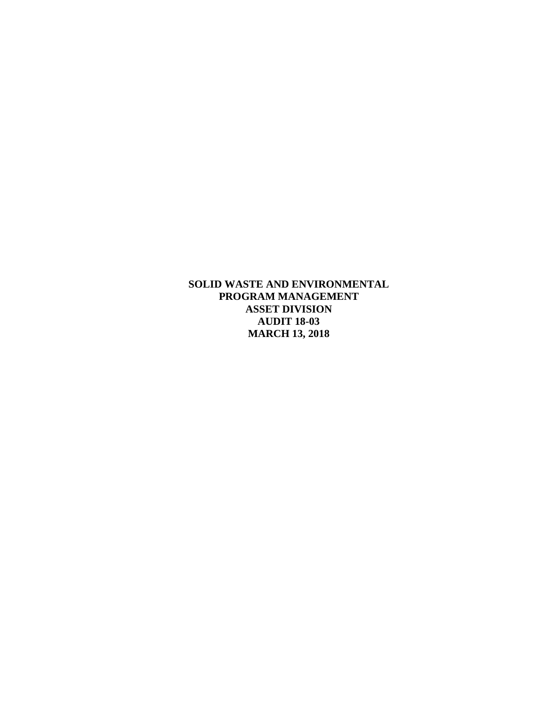**SOLID WASTE AND ENVIRONMENTAL PROGRAM MANAGEMENT ASSET DIVISION AUDIT 18-03 MARCH 13, 2018**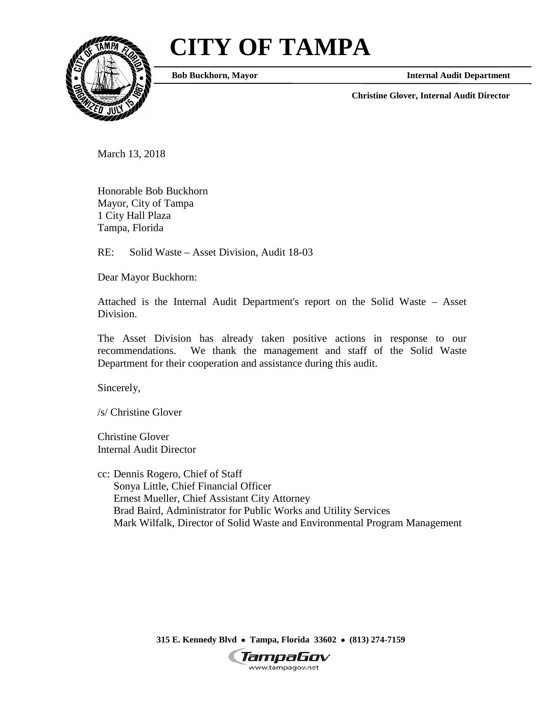# **CITY OF TAMPA**



**Bob Buckhorn, Mayor**

**Internal Audit Department**

**Christine Glover, Internal Audit Director**

March 13, 2018

Honorable Bob Buckhorn Mayor, City of Tampa 1 City Hall Plaza Tampa, Florida

RE: Solid Waste – Asset Division, Audit 18-03

Dear Mayor Buckhorn:

Attached is the Internal Audit Department's report on the Solid Waste – Asset Division.

The Asset Division has already taken positive actions in response to our recommendations. We thank the management and staff of the Solid Waste Department for their cooperation and assistance during this audit.

Sincerely,

/s/ Christine Glover

Christine Glover Internal Audit Director

cc: Dennis Rogero, Chief of Staff Sonya Little, Chief Financial Officer Ernest Mueller, Chief Assistant City Attorney Brad Baird, Administrator for Public Works and Utility Services Mark Wilfalk, Director of Solid Waste and Environmental Program Management

**315 E. Kennedy Blvd** • **Tampa, Florida 33602** • **(813) 274-7159**

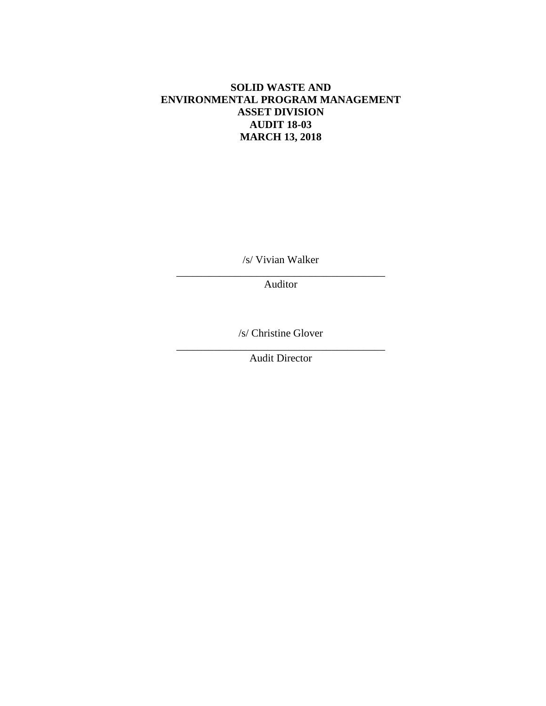## **SOLID WASTE AND ENVIRONMENTAL PROGRAM MANAGEMENT ASSET DIVISION AUDIT 18-03 MARCH 13, 2018**

/s/ Vivian Walker

\_\_\_\_\_\_\_\_\_\_\_\_\_\_\_\_\_\_\_\_\_\_\_\_\_\_\_\_\_\_\_\_\_\_\_\_\_\_\_ Auditor

/s/ Christine Glover

\_\_\_\_\_\_\_\_\_\_\_\_\_\_\_\_\_\_\_\_\_\_\_\_\_\_\_\_\_\_\_\_\_\_\_\_\_\_\_ Audit Director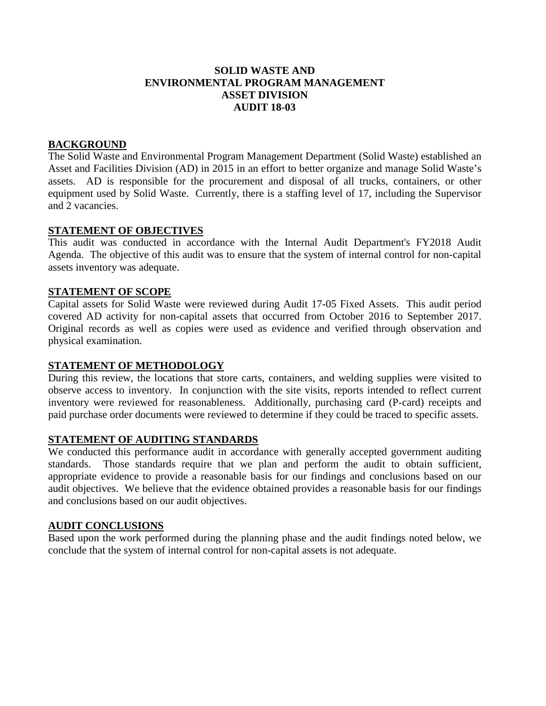## **SOLID WASTE AND ENVIRONMENTAL PROGRAM MANAGEMENT ASSET DIVISION AUDIT 18-03**

## **BACKGROUND**

The Solid Waste and Environmental Program Management Department (Solid Waste) established an Asset and Facilities Division (AD) in 2015 in an effort to better organize and manage Solid Waste's assets. AD is responsible for the procurement and disposal of all trucks, containers, or other equipment used by Solid Waste. Currently, there is a staffing level of 17, including the Supervisor and 2 vacancies.

#### **STATEMENT OF OBJECTIVES**

This audit was conducted in accordance with the Internal Audit Department's FY2018 Audit Agenda. The objective of this audit was to ensure that the system of internal control for non-capital assets inventory was adequate.

#### **STATEMENT OF SCOPE**

Capital assets for Solid Waste were reviewed during Audit 17-05 Fixed Assets. This audit period covered AD activity for non-capital assets that occurred from October 2016 to September 2017. Original records as well as copies were used as evidence and verified through observation and physical examination.

#### **STATEMENT OF METHODOLOGY**

During this review, the locations that store carts, containers, and welding supplies were visited to observe access to inventory. In conjunction with the site visits, reports intended to reflect current inventory were reviewed for reasonableness. Additionally, purchasing card (P-card) receipts and paid purchase order documents were reviewed to determine if they could be traced to specific assets.

#### **STATEMENT OF AUDITING STANDARDS**

We conducted this performance audit in accordance with generally accepted government auditing standards. Those standards require that we plan and perform the audit to obtain sufficient, appropriate evidence to provide a reasonable basis for our findings and conclusions based on our audit objectives. We believe that the evidence obtained provides a reasonable basis for our findings and conclusions based on our audit objectives.

#### **AUDIT CONCLUSIONS**

Based upon the work performed during the planning phase and the audit findings noted below, we conclude that the system of internal control for non-capital assets is not adequate.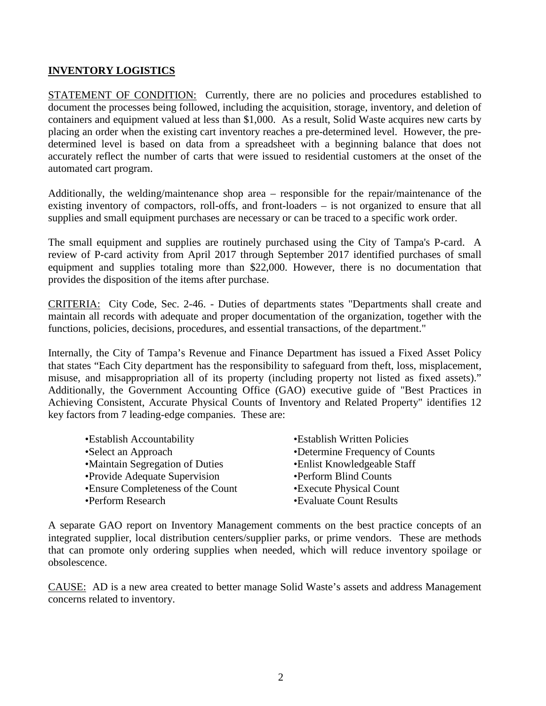## **INVENTORY LOGISTICS**

STATEMENT OF CONDITION: Currently, there are no policies and procedures established to document the processes being followed, including the acquisition, storage, inventory, and deletion of containers and equipment valued at less than \$1,000. As a result, Solid Waste acquires new carts by placing an order when the existing cart inventory reaches a pre-determined level. However, the predetermined level is based on data from a spreadsheet with a beginning balance that does not accurately reflect the number of carts that were issued to residential customers at the onset of the automated cart program.

Additionally, the welding/maintenance shop area – responsible for the repair/maintenance of the existing inventory of compactors, roll-offs, and front-loaders – is not organized to ensure that all supplies and small equipment purchases are necessary or can be traced to a specific work order.

The small equipment and supplies are routinely purchased using the City of Tampa's P-card. A review of P-card activity from April 2017 through September 2017 identified purchases of small equipment and supplies totaling more than \$22,000. However, there is no documentation that provides the disposition of the items after purchase.

CRITERIA: City Code, Sec. 2-46. - Duties of departments states "Departments shall create and maintain all records with adequate and proper documentation of the organization, together with the functions, policies, decisions, procedures, and essential transactions, of the department."

Internally, the City of Tampa's Revenue and Finance Department has issued a Fixed Asset Policy that states "Each City department has the responsibility to safeguard from theft, loss, misplacement, misuse, and misappropriation all of its property (including property not listed as fixed assets)." Additionally, the Government Accounting Office (GAO) executive guide of "Best Practices in Achieving Consistent, Accurate Physical Counts of Inventory and Related Property" identifies 12 key factors from 7 leading-edge companies. These are:

| •Establish Accountability         | •Establish Written Policies    |
|-----------------------------------|--------------------------------|
| •Select an Approach               | •Determine Frequency of Counts |
| •Maintain Segregation of Duties   | •Enlist Knowledgeable Staff    |
| • Provide Adequate Supervision    | •Perform Blind Counts          |
| •Ensure Completeness of the Count | •Execute Physical Count        |
| •Perform Research                 | •Evaluate Count Results        |
|                                   |                                |

A separate GAO report on Inventory Management comments on the best practice concepts of an integrated supplier, local distribution centers/supplier parks, or prime vendors. These are methods that can promote only ordering supplies when needed, which will reduce inventory spoilage or obsolescence.

CAUSE: AD is a new area created to better manage Solid Waste's assets and address Management concerns related to inventory.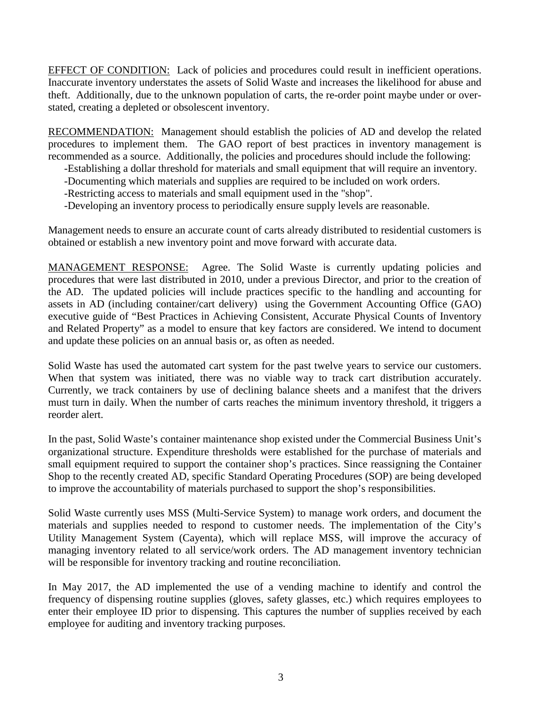EFFECT OF CONDITION: Lack of policies and procedures could result in inefficient operations. Inaccurate inventory understates the assets of Solid Waste and increases the likelihood for abuse and theft. Additionally, due to the unknown population of carts, the re-order point maybe under or overstated, creating a depleted or obsolescent inventory.

RECOMMENDATION: Management should establish the policies of AD and develop the related procedures to implement them. The GAO report of best practices in inventory management is recommended as a source. Additionally, the policies and procedures should include the following:

- -Establishing a dollar threshold for materials and small equipment that will require an inventory.
- -Documenting which materials and supplies are required to be included on work orders.
- -Restricting access to materials and small equipment used in the "shop".
- -Developing an inventory process to periodically ensure supply levels are reasonable.

Management needs to ensure an accurate count of carts already distributed to residential customers is obtained or establish a new inventory point and move forward with accurate data.

MANAGEMENT RESPONSE: Agree. The Solid Waste is currently updating policies and procedures that were last distributed in 2010, under a previous Director, and prior to the creation of the AD. The updated policies will include practices specific to the handling and accounting for assets in AD (including container/cart delivery) using the Government Accounting Office (GAO) executive guide of "Best Practices in Achieving Consistent, Accurate Physical Counts of Inventory and Related Property" as a model to ensure that key factors are considered. We intend to document and update these policies on an annual basis or, as often as needed.

Solid Waste has used the automated cart system for the past twelve years to service our customers. When that system was initiated, there was no viable way to track cart distribution accurately. Currently, we track containers by use of declining balance sheets and a manifest that the drivers must turn in daily. When the number of carts reaches the minimum inventory threshold, it triggers a reorder alert.

In the past, Solid Waste's container maintenance shop existed under the Commercial Business Unit's organizational structure. Expenditure thresholds were established for the purchase of materials and small equipment required to support the container shop's practices. Since reassigning the Container Shop to the recently created AD, specific Standard Operating Procedures (SOP) are being developed to improve the accountability of materials purchased to support the shop's responsibilities.

Solid Waste currently uses MSS (Multi-Service System) to manage work orders, and document the materials and supplies needed to respond to customer needs. The implementation of the City's Utility Management System (Cayenta), which will replace MSS, will improve the accuracy of managing inventory related to all service/work orders. The AD management inventory technician will be responsible for inventory tracking and routine reconciliation.

In May 2017, the AD implemented the use of a vending machine to identify and control the frequency of dispensing routine supplies (gloves, safety glasses, etc.) which requires employees to enter their employee ID prior to dispensing. This captures the number of supplies received by each employee for auditing and inventory tracking purposes.